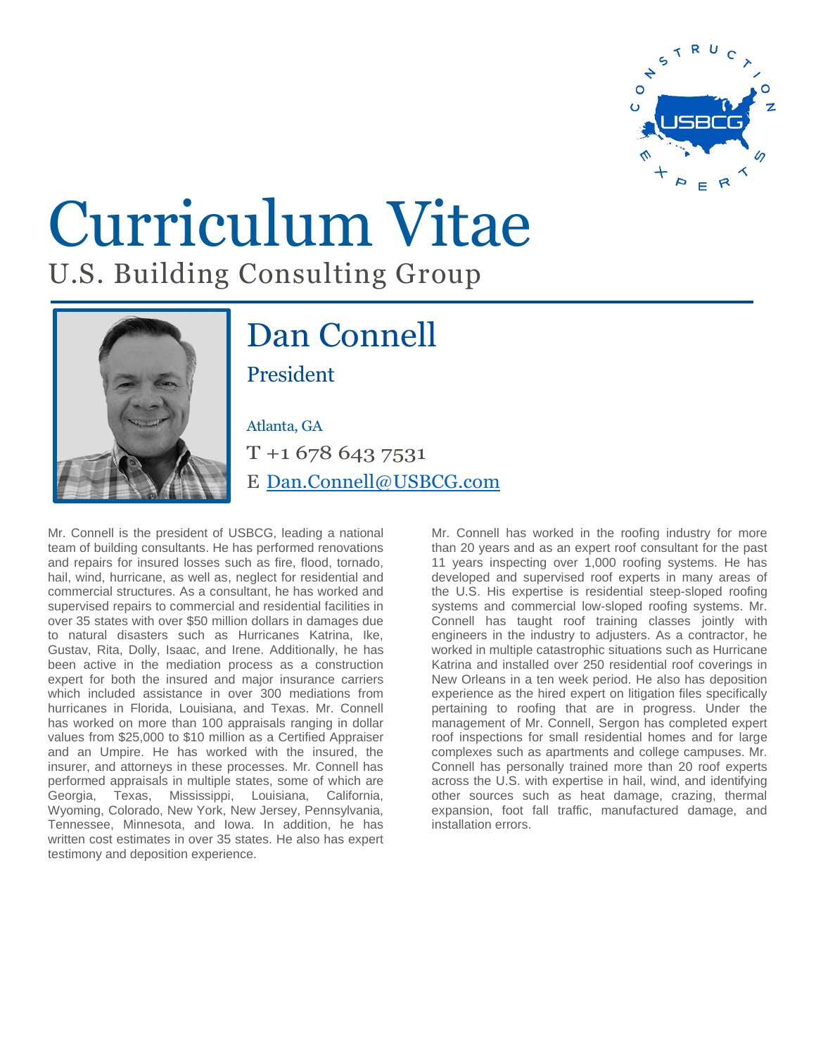

## Curriculum Vitae U.S. Building Consulting Group



## Dan Connell President

## Atlanta, GA

T +1 678 643 7531 E [Dan.Connell@USBCG.com](mailto:dan.connell@usbcg.com)

Mr. Connell is the president of USBCG, leading a national team of building consultants. He has performed renovations and repairs for insured losses such as fire, flood, tornado, hail, wind, hurricane, as well as, neglect for residential and commercial structures. As a consultant, he has worked and supervised repairs to commercial and residential facilities in over 35 states with over \$50 million dollars in damages due to natural disasters such as Hurricanes Katrina, Ike, Gustav, Rita, Dolly, Isaac, and Irene. Additionally, he has been active in the mediation process as a construction expert for both the insured and major insurance carriers which included assistance in over 300 mediations from hurricanes in Florida, Louisiana, and Texas. Mr. Connell has worked on more than 100 appraisals ranging in dollar values from \$25,000 to \$10 million as a Certified Appraiser and an Umpire. He has worked with the insured, the insurer, and attorneys in these processes. Mr. Connell has performed appraisals in multiple states, some of which are Georgia, Texas, Mississippi, Louisiana, California, Wyoming, Colorado, New York, New Jersey, Pennsylvania, Tennessee, Minnesota, and Iowa. In addition, he has written cost estimates in over 35 states. He also has expert testimony and deposition experience.

Mr. Connell has worked in the roofing industry for more than 20 years and as an expert roof consultant for the past 11 years inspecting over 1,000 roofing systems. He has developed and supervised roof experts in many areas of the U.S. His expertise is residential steep-sloped roofing systems and commercial low-sloped roofing systems. Mr. Connell has taught roof training classes jointly with engineers in the industry to adjusters. As a contractor, he worked in multiple catastrophic situations such as Hurricane Katrina and installed over 250 residential roof coverings in New Orleans in a ten week period. He also has deposition experience as the hired expert on litigation files specifically pertaining to roofing that are in progress. Under the management of Mr. Connell, Sergon has completed expert roof inspections for small residential homes and for large complexes such as apartments and college campuses. Mr. Connell has personally trained more than 20 roof experts across the U.S. with expertise in hail, wind, and identifying other sources such as heat damage, crazing, thermal expansion, foot fall traffic, manufactured damage, and installation errors.